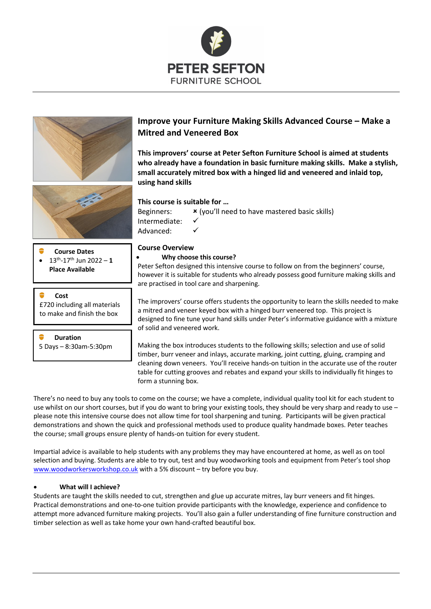





- **Course Dates**
- 13th-17th Jun 2022 **1 Place Available**

**Cost** £720 including all materials to make and finish the box

**Duration** 5 Days – 8:30am-5:30pm

# **Improve your Furniture Making Skills Advanced Course – Make a Mitred and Veneered Box**

**This improvers' course at Peter Sefton Furniture School is aimed at students who already have a foundation in basic furniture making skills. Make a stylish, small accurately mitred box with a hinged lid and veneered and inlaid top, using hand skills**

## **This course is suitable for …**

Beginners:  $\boldsymbol{\mathsf{x}}$  (you'll need to have mastered basic skills) Intermediate: Advanced:

## **Course Overview**

### • **Why choose this course?**

Peter Sefton designed this intensive course to follow on from the beginners' course, however it is suitable for students who already possess good furniture making skills and are practised in tool care and sharpening.

The improvers' course offers students the opportunity to learn the skills needed to make a mitred and veneer keyed box with a hinged burr veneered top. This project is designed to fine tune your hand skills under Peter's informative guidance with a mixture of solid and veneered work.

Making the box introduces students to the following skills; selection and use of solid timber, burr veneer and inlays, accurate marking, joint cutting, gluing, cramping and cleaning down veneers. You'll receive hands-on tuition in the accurate use of the router table for cutting grooves and rebates and expand your skills to individually fit hinges to form a stunning box.

There's no need to buy any tools to come on the course; we have a complete, individual quality tool kit for each student to use whilst on our short courses, but if you do want to bring your existing tools, they should be very sharp and ready to use please note this intensive course does not allow time for tool sharpening and tuning. Participants will be given practical demonstrations and shown the quick and professional methods used to produce quality handmade boxes. Peter teaches the course; small groups ensure plenty of hands-on tuition for every student.

Impartial advice is available to help students with any problems they may have encountered at home, as well as on tool selection and buying. Students are able to try out, test and buy woodworking tools and equipment from Peter's tool shop www.woodworkersworkshop.co.uk with a 5% discount – try before you buy.

## • **What will I achieve?**

Students are taught the skills needed to cut, strengthen and glue up accurate mitres, lay burr veneers and fit hinges. Practical demonstrations and one-to-one tuition provide participants with the knowledge, experience and confidence to attempt more advanced furniture making projects. You'll also gain a fuller understanding of fine furniture construction and timber selection as well as take home your own hand-crafted beautiful box.